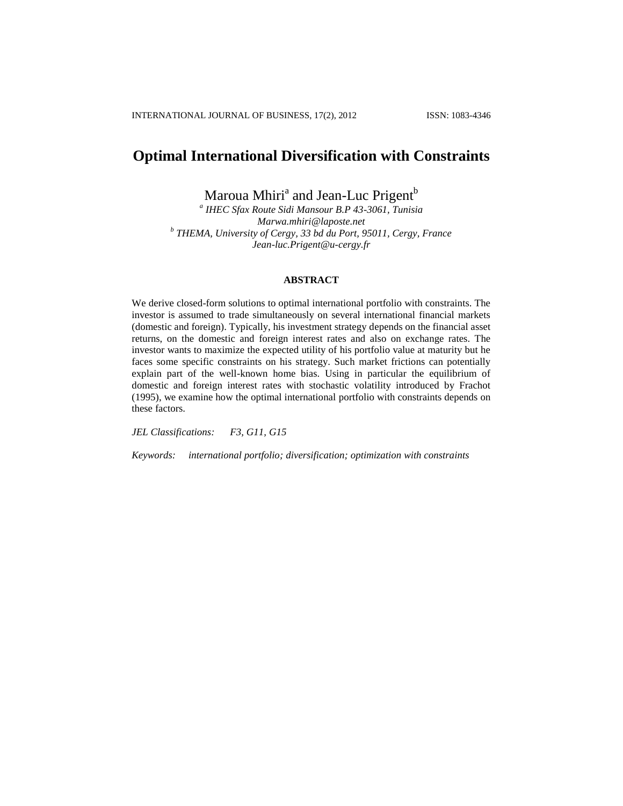# **Optimal International Diversification with Constraints**

Maroua Mhiri<sup>a</sup> and Jean-Luc Prigent<sup>b</sup>

*a IHEC Sfax Route Sidi Mansour B.P 43-3061, Tunisia Marwa.mhiri@laposte.net b THEMA, University of Cergy, 33 bd du Port, 95011, Cergy, France Jean-luc.Prigent@u-cergy.fr*

# **ABSTRACT**

We derive closed-form solutions to optimal international portfolio with constraints. The investor is assumed to trade simultaneously on several international financial markets (domestic and foreign). Typically, his investment strategy depends on the financial asset returns, on the domestic and foreign interest rates and also on exchange rates. The investor wants to maximize the expected utility of his portfolio value at maturity but he faces some specific constraints on his strategy. Such market frictions can potentially explain part of the well-known home bias. Using in particular the equilibrium of domestic and foreign interest rates with stochastic volatility introduced by Frachot (1995), we examine how the optimal international portfolio with constraints depends on these factors.

*JEL Classifications: F3, G11, G15*

*Keywords: international portfolio; diversification; optimization with constraints*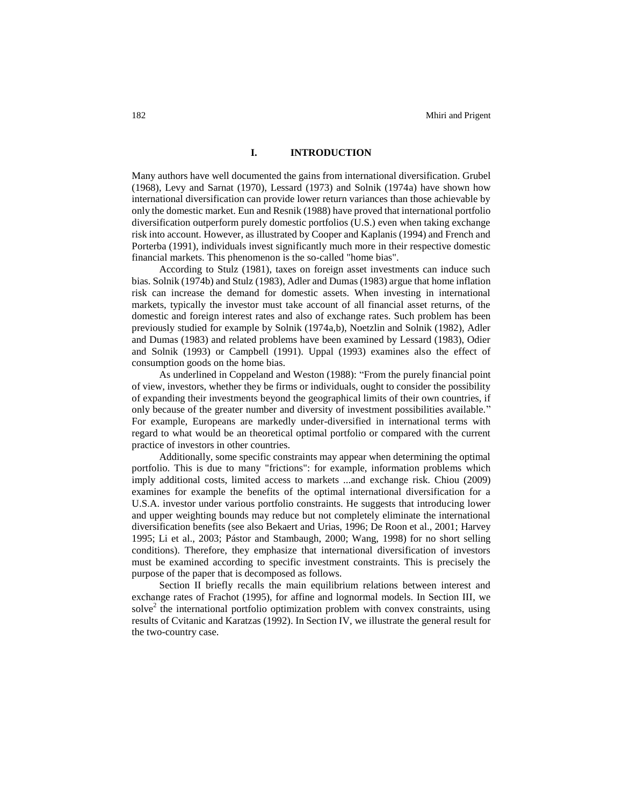## **I. INTRODUCTION**

Many authors have well documented the gains from international diversification. Grubel (1968), Levy and Sarnat (1970), Lessard (1973) and Solnik (1974a) have shown how international diversification can provide lower return variances than those achievable by only the domestic market. Eun and Resnik (1988) have proved that international portfolio diversification outperform purely domestic portfolios (U.S.) even when taking exchange risk into account. However, as illustrated by Cooper and Kaplanis (1994) and French and Porterba (1991), individuals invest significantly much more in their respective domestic financial markets. This phenomenon is the so-called "home bias".

According to Stulz (1981), taxes on foreign asset investments can induce such bias. Solnik (1974b) and Stulz (1983), Adler and Dumas (1983) argue that home inflation risk can increase the demand for domestic assets. When investing in international markets, typically the investor must take account of all financial asset returns, of the domestic and foreign interest rates and also of exchange rates. Such problem has been previously studied for example by Solnik (1974a,b), Noetzlin and Solnik (1982), Adler and Dumas (1983) and related problems have been examined by Lessard (1983), Odier and Solnik (1993) or Campbell (1991). Uppal (1993) examines also the effect of consumption goods on the home bias.

As underlined in Coppeland and Weston (1988): "From the purely financial point of view, investors, whether they be firms or individuals, ought to consider the possibility of expanding their investments beyond the geographical limits of their own countries, if only because of the greater number and diversity of investment possibilities available." For example, Europeans are markedly under-diversified in international terms with regard to what would be an theoretical optimal portfolio or compared with the current practice of investors in other countries.

Additionally, some specific constraints may appear when determining the optimal portfolio. This is due to many "frictions": for example, information problems which imply additional costs, limited access to markets ...and exchange risk. Chiou (2009) examines for example the benefits of the optimal international diversification for a U.S.A. investor under various portfolio constraints. He suggests that introducing lower and upper weighting bounds may reduce but not completely eliminate the international diversification benefits (see also Bekaert and Urias, 1996; De Roon et al., 2001; Harvey 1995; Li et al., 2003; Pástor and Stambaugh, 2000; Wang, 1998) for no short selling conditions). Therefore, they emphasize that international diversification of investors must be examined according to specific investment constraints. This is precisely the purpose of the paper that is decomposed as follows.

Section II briefly recalls the main equilibrium relations between interest and exchange rates of Frachot (1995), for affine and lognormal models. In Section III, we solve<sup>2</sup> the international portfolio optimization problem with convex constraints, using results of Cvitanic and Karatzas (1992). In Section IV, we illustrate the general result for the two-country case.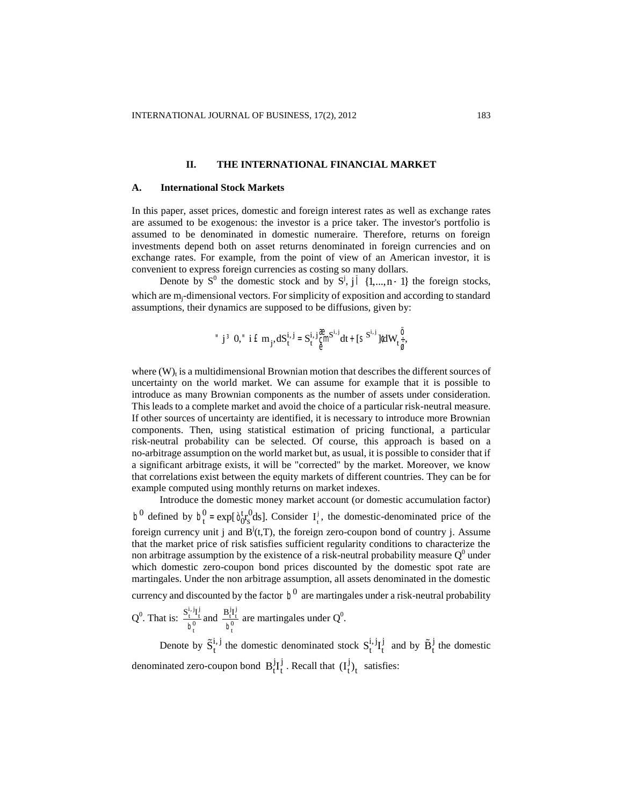#### **II. THE INTERNATIONAL FINANCIAL MARKET**

#### **A. International Stock Markets**

In this paper, asset prices, domestic and foreign interest rates as well as exchange rates are assumed to be exogenous: the investor is a price taker. The investor's portfolio is assumed to be denominated in domestic numeraire. Therefore, returns on foreign investments depend both on asset returns denominated in foreign currencies and on exchange rates. For example, from the point of view of an American investor, it is convenient to express foreign currencies as costing so many dollars.

Denote by  $S^0$  the domestic stock and by  $S^j$ ,  $j \in \{1,...,n-1\}$  the foreign stocks, which are m<sub>i</sub>-dimensional vectors. For simplicity of exposition and according to standard assumptions, their dynamics are supposed to be diffusions, given by:

$$
``j\ ^3\ 0, ``i\ \dot{E}\ m_j, dS^{i,\ j}_t=S^{i,\ j}_{t}\mathop{\mathbb{S}}\limits_{\theta}^{m}S^{i,\ j}dt+[S^{S^{i,\ j}}]^{t}dW_{t\ \dot{\bar{\theta}}},
$$

where  $(W)$ <sub>t</sub> is a multidimensional Brownian motion that describes the different sources of uncertainty on the world market. We can assume for example that it is possible to introduce as many Brownian components as the number of assets under consideration. This leads to a complete market and avoid the choice of a particular risk-neutral measure. If other sources of uncertainty are identified, it is necessary to introduce more Brownian components. Then, using statistical estimation of pricing functional, a particular risk-neutral probability can be selected. Of course, this approach is based on a no-arbitrage assumption on the world market but, as usual, it is possible to consider that if a significant arbitrage exists, it will be "corrected" by the market. Moreover, we know that correlations exist between the equity markets of different countries. They can be for example computed using monthly returns on market indexes.

Introduce the domestic money market account (or domestic accumulation factor) b<sup>0</sup> defined by  $b_t^0 = \exp[\delta_0^t r_s^0]$  $_{s}^{0}$ ds]. Consider  $I_{t}^{j}$ j , the domestic-denominated price of the foreign currency unit j and  $B^j(t,T)$ , the foreign zero-coupon bond of country j. Assume that the market price of risk satisfies sufficient regularity conditions to characterize the non arbitrage assumption by the existence of a risk-neutral probability measure  $Q^0$  under which domestic zero-coupon bond prices discounted by the domestic spot rate are martingales. Under the non arbitrage assumption, all assets denominated in the domestic currency and discounted by the factor  $b^0$  are martingales under a risk-neutral probability  $Q^0$ . That is:  $\frac{S_t^{i,j}I_t^{j}}{Q}$  $\frac{b_t^{i,j}I_t^{j}}{b_t^{0}}$  and  $\frac{B_t^{j}I_t^{j}}{b_t^{0}}$  $\frac{\partial^2 T_i^2}{\partial t_0^0}$  are martingales under Q<sup>0</sup>. Denote by  $\tilde{S}_{t}^{i,j}$  the domestic denominated stock  $S_{t}^{i,j}I_{t}^{j}$  $\tilde{B}_t^j$  and by  $\tilde{B}_t^j$  the domestic

denominated zero-coupon bond  $B_t^jI_t^j$  $\frac{d}{dt}$ . Recall that  $(I_t^j)$  $j_t$  satisfies: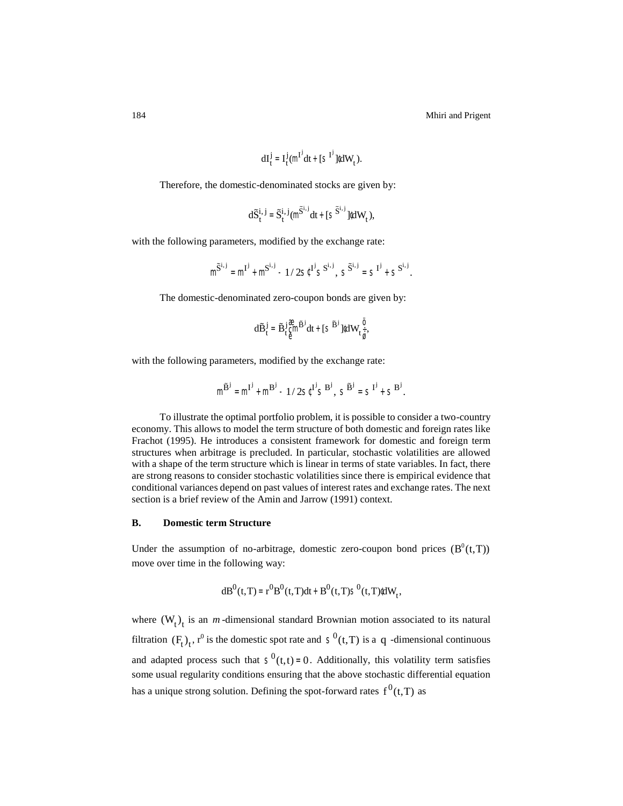184 Mhiri and Prigent

$$
dI_t^j=I_t^j\big(\text{m}^{I^j}dt+[\text{S}^{I^j}]\text{Id}W_t^{\phantom{i}}\big).
$$

Therefore, the domestic-denominated stocks are given by:

$$
d\widetilde{S}^{i,j}_t = \widetilde{S}^{i,j}_t(m^{\widetilde{S}^{i,j}}dt + [s^{\widetilde{S}^{i,j}}]^{t}dW_t),
$$

with the following parameters, modified by the exchange rate:

$$
m^{\widetilde{S}^{i,j}} = m^{I^j} + m^{S^{i,j}} - 1/2s^{\zeta I^j} s^{S^{i,j}}, \ s^{\widetilde{S}^{i,j}} = s^{I^j} + s^{S^{i,j}}.
$$

The domestic-denominated zero-coupon bonds are given by:

$$
d\widetilde{B}^j_t = \widetilde{B}^j_t \underset{\Theta}{\overset{\mathfrak{F}}{\mathsf{C}}}{}^m \widetilde{B}^j dt + [\mathsf{S}^{\widetilde{B}^j}]{}^t dW_t \underset{\widetilde{g}}{\overset{\circ}{\mathsf{F}}},
$$

with the following parameters, modified by the exchange rate:

$$
m^{\widetilde{B}^j} = m^{I^j} + m^{B^j} - 1/\, 2 s^{[I^j} s^{B^j}, \,\, s^{\widetilde{B}^j} = s^{I^j} + s^{B^j}.
$$

To illustrate the optimal portfolio problem, it is possible to consider a two-country economy. This allows to model the term structure of both domestic and foreign rates like Frachot (1995). He introduces a consistent framework for domestic and foreign term structures when arbitrage is precluded. In particular, stochastic volatilities are allowed with a shape of the term structure which is linear in terms of state variables. In fact, there are strong reasons to consider stochastic volatilities since there is empirical evidence that conditional variances depend on past values of interest rates and exchange rates. The next section is a brief review of the Amin and Jarrow (1991) context.

## **B. Domestic term Structure**

Under the assumption of no-arbitrage, domestic zero-coupon bond prices  $(B^0(t,T))$ move over time in the following way:

$$
dB^0(t,T)=r^0B^0(t,T)dt+B^0(t,T)S^0(t,T)\hat{d}W_t,
$$

where  $(W_t)$ <sub>t</sub> is an *m*-dimensional standard Brownian motion associated to its natural filtration  $(F_t)_t$ ,  $r^0$  is the domestic spot rate and  $S^0(t,T)$  is a q -dimensional continuous and adapted process such that  $S^0(t,t) = 0$ . Additionally, this volatility term satisfies some usual regularity conditions ensuring that the above stochastic differential equation has a unique strong solution. Defining the spot-forward rates  $f^0(t,T)$  as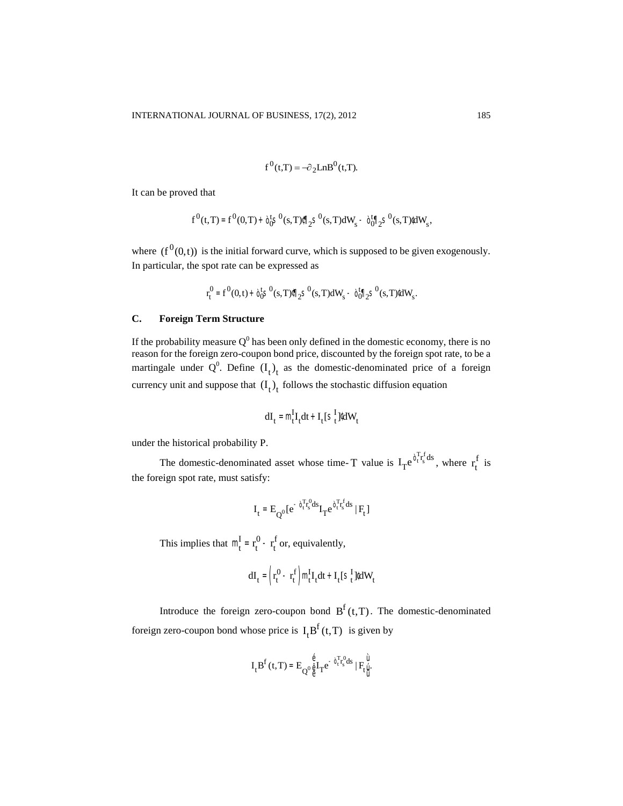$$
f^{0}(t,T) = -\partial_{2}LnB^{0}(t,T).
$$

It can be proved that

$$
f^{0}(t,T) = f^{0}(0,T) + \dot{\mathfrak{d}}_{0}^{t}S^{0}(s,T)\mathbb{I}_{2}^{t}S^{0}(s,T)dW_{s} - \dot{\mathfrak{d}}_{0}^{t}\mathbb{I}_{2}^{t}S^{0}(s,T)dW_{s},
$$

where  $(f^{0}(0,t))$  is the initial forward curve, which is supposed to be given exogenously. In particular, the spot rate can be expressed as

$$
r^0_t = f^0(0,t) + \dot{\mathfrak{d}}^t_0 S^0(s,T) \text{ for all } s^0(s,T) dW_s - \dot{\mathfrak{d}}^t_0 \text{ for all } s^0(s,T) dW_s.
$$

# **C. Foreign Term Structure**

If the probability measure  $Q^0$  has been only defined in the domestic economy, there is no reason for the foreign zero-coupon bond price, discounted by the foreign spot rate, to be a martingale under  $Q^0$ . Define  $(I_t)_t$  as the domestic-denominated price of a foreign currency unit and suppose that  $(I_t)_t$  follows the stochastic diffusion equation

$$
dI_t = m_t^I I_t dt + I_t [s_t^I] dW_t
$$

under the historical probability P.

The domestic-denominated asset whose time- T value is  $I_T e^{i \int_t^T r_s^f ds}$ , where  $r_t^f$  $\int$ <sub>is</sub> the foreign spot rate, must satisfy:

$$
\boldsymbol{I}_t = \boldsymbol{E}_{Q^0}[\boldsymbol{e}^{-\boldsymbol{\mathfrak{d}}_t^T \boldsymbol{r}_s^0 ds} \boldsymbol{I}_T \boldsymbol{e}^{\boldsymbol{\mathfrak{d}}_t^T \boldsymbol{r}_s^f ds} \mid \boldsymbol{F}_t]
$$

This implies that  $m_t^I = r_t^I$  $\frac{0}{t} - r_t^1$  $\int_{1}^{f}$  or, equivalently,

$$
dI_t = \left(r_t^0 - r_t^f\right) m_t^I I_t dt + I_t [S_t^I] dW_t
$$

Introduce the foreign zero-coupon bond  $B<sup>f</sup>(t,T)$ . The domestic-denominated foreign zero-coupon bond whose price is  $I_t B^f(t,T)$  is given by

$$
I_t B^f\left(t,T\right)=E_{Q^0\overset{\hat{\theta}}{\underset{\theta}{\hat{\theta}}}I_T e^{-\overset{\circ}{\theta}{}^T_t r^0_sds}\mid F_t\overset{\hat{U}}{\underset{\hat{U}}{\hat{U}}}
$$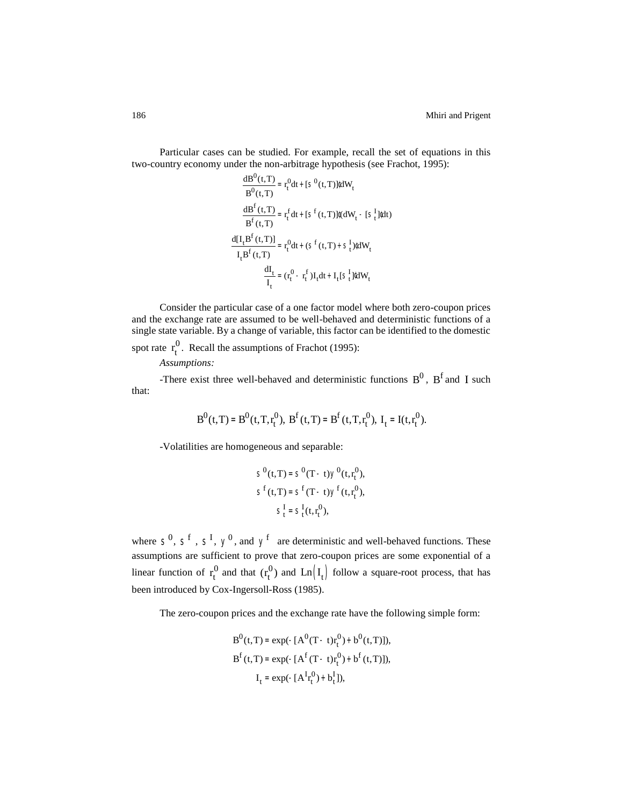Particular cases can be studied. For example, recall the set of equations in this two-country economy under the non-arbitrage hypothesis (see Frachot, 1995):

$$
\frac{dB^0(t,T)}{B^0(t,T)} = r_t^0 dt + [S^0(t,T)]^t dW_t
$$
  

$$
\frac{dB^f(t,T)}{B^f(t,T)} = r_t^f dt + [S^f(t,T)]^t (dW_t - [S_t^I]^t dt)
$$
  

$$
\frac{d[I_t B^f(t,T)]}{I_t B^f(t,T)} = r_t^0 dt + (S^f(t,T) + S_t^I)^t dW_t
$$
  

$$
\frac{dI_t}{I_t} = (r_t^0 - r_t^f) I_t dt + I_t [S_t^I]^t dW_t
$$

Consider the particular case of a one factor model where both zero-coupon prices and the exchange rate are assumed to be well-behaved and deterministic functions of a single state variable. By a change of variable, this factor can be identified to the domestic spot rate  $r_t^{\prime}$  $^{0}$ . Recall the assumptions of Frachot (1995):

*Assumptions:* 

-There exist three well-behaved and deterministic functions  $B^0$ ,  $B^f$  and I such that:

$$
B^{0}(t,T) = B^{0}(t,T,r_{t}^{0}), B^{f}(t,T) = B^{f}(t,T,r_{t}^{0}), I_{t} = I(t,r_{t}^{0}).
$$

-Volatilities are homogeneous and separable:

$$
S^{0}(t,T) = S^{0}(T-t)Y^{0}(t,r_{t}^{0}),
$$
  
\n
$$
S^{f}(t,T) = S^{f}(T-t)Y^{f}(t,r_{t}^{0}),
$$
  
\n
$$
S_{t}^{I} = S_{t}^{I}(t,r_{t}^{0}),
$$

where  $S^0$ ,  $S^f$ ,  $S^J$ ,  $y^0$ , and  $y^f$  are deterministic and well-behaved functions. These assumptions are sufficient to prove that zero-coupon prices are some exponential of a linear function of  $r_t^1$  $_1^0$  and that  $(r_t^0)$  $_{t}^{0}$ ) and  $\text{Ln} (I_{t})$  follow a square-root process, that has been introduced by Cox-Ingersoll-Ross (1985).

The zero-coupon prices and the exchange rate have the following simple form:

$$
B^{0}(t,T) = \exp(-[A^{0}(T-t)r_{t}^{0}) + b^{0}(t,T)]),
$$
  
\n
$$
B^{f}(t,T) = \exp(-[A^{f}(T-t)r_{t}^{0}) + b^{f}(t,T)]),
$$
  
\n
$$
I_{t} = \exp(-[A^{f}r_{t}^{0}) + b_{t}^{I}]),
$$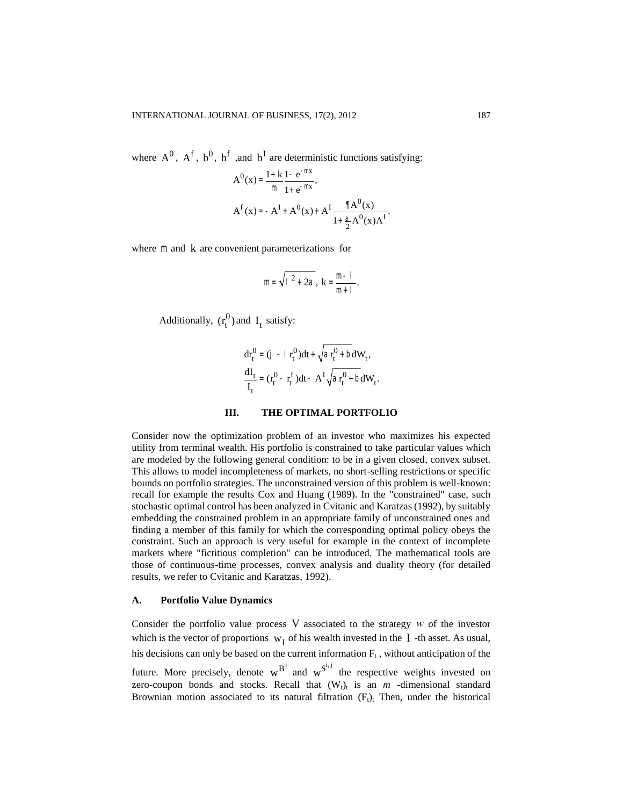where  $A^0$ ,  $A^f$ ,  $b^0$ ,  $b^f$ , and  $b^I$  are deterministic functions satisfying:

$$
A^{0}(x) = \frac{1 + k}{m} \frac{1 - e^{-mx}}{1 + e^{-mx}},
$$
  

$$
A^{f}(x) = -A^{I} + A^{0}(x) + A^{I} \frac{\sqrt{a^{0}(x)}}{1 + \frac{a}{2} A^{0}(x)A^{I}}.
$$

where  $m$  and  $k$  are convenient parameterizations for

$$
m = \sqrt{1^2 + 2a}, k = \frac{m-1}{m+1}.
$$

Additionally,  $(r_t^1)$  $_{t}^{0}$ ) and I<sub>t</sub> satisfy:

$$
dr_t^0 = (j - l r_t^0) dt + \sqrt{ar_t^0 + bdW_t},
$$
  
\n
$$
\frac{dI_t}{I_t} = (r_t^0 - r_t^f) dt - A^I \sqrt{ar_t^0 + bdW_t}.
$$

## **III. THE OPTIMAL PORTFOLIO**

Consider now the optimization problem of an investor who maximizes his expected utility from terminal wealth. His portfolio is constrained to take particular values which are modeled by the following general condition: to be in a given closed, convex subset. This allows to model incompleteness of markets, no short-selling restrictions or specific bounds on portfolio strategies. The unconstrained version of this problem is well-known: recall for example the results Cox and Huang (1989). In the "constrained" case, such stochastic optimal control has been analyzed in Cvitanic and Karatzas (1992), by suitably embedding the constrained problem in an appropriate family of unconstrained ones and finding a member of this family for which the corresponding optimal policy obeys the constraint. Such an approach is very useful for example in the context of incomplete markets where "fictitious completion" can be introduced. The mathematical tools are those of continuous-time processes, convex analysis and duality theory (for detailed results, we refer to Cvitanic and Karatzas, 1992).

#### **A. Portfolio Value Dynamics**

Consider the portfolio value process  $V$  associated to the strategy  $w$  of the investor which is the vector of proportions  $w_1$  of his wealth invested in the 1-th asset. As usual, his decisions can only be based on the current information  $F_t$ , without anticipation of the future. More precisely, denote  $w^{B^j}$  and  $w^{S^{i,j}}$  the respective weights invested on zero-coupon bonds and stocks. Recall that  $(W_t)_t$  is an  $m$  -dimensional standard Brownian motion associated to its natural filtration  $(F<sub>t</sub>)<sub>t</sub>$  Then, under the historical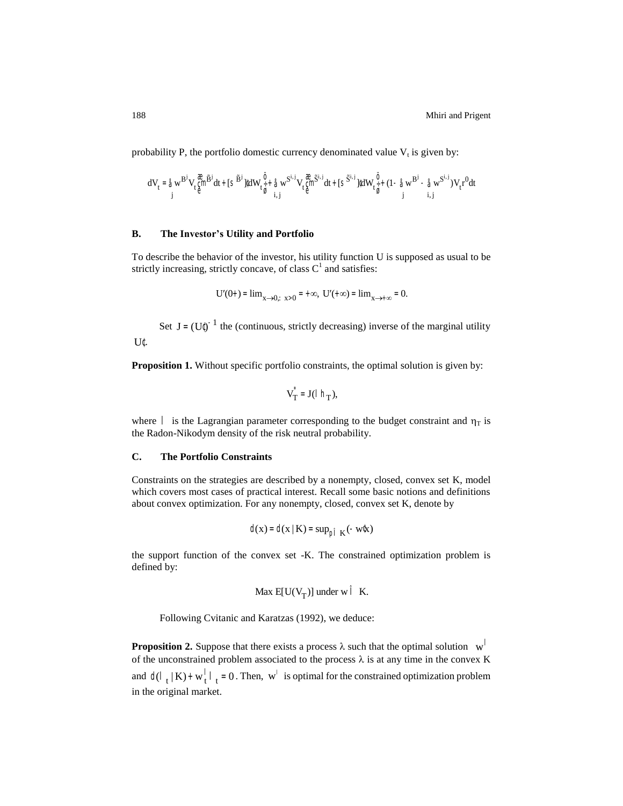probability P, the portfolio domestic currency denominated value  $V_t$  is given by:

$$
dV_t = \hat{\triangleleft} w^{B^j} V_t \hat{\stackrel{\text{def}}{g}} \stackrel{\text{def}}{=} dt + [s^{\widetilde{B}^j}]^t dW_t \hat{\stackrel{\text{def}}{_{\check{g}}}}{}^t \hat{\triangleleft} w^{S^{i,j}} V_t \hat{\stackrel{\text{def}}{g}} \stackrel{\text{def}}{=} t + [s^{\widetilde{S}^{i,j}}]^t dW_t \hat{\stackrel{\text{def}}{_{\check{g}}}}{}^t + (1 - \hat{\triangleleft} w^{B^j} - \hat{\triangleleft} w^{S^{i,j}}) V_t r^0 dt
$$

## **B. The Investor's Utility and Portfolio**

To describe the behavior of the investor, his utility function U is supposed as usual to be strictly increasing, strictly concave, of class  $C<sup>1</sup>$  and satisfies:

$$
U'(0+) = \lim_{x \to 0; x > 0} = +\infty, \ U'(+\infty) = \lim_{x \to +\infty} = 0.
$$

Set  $J = (U^{\uparrow})^{-1}$  the (continuous, strictly decreasing) inverse of the marginal utility U¢.

**Proposition 1.** Without specific portfolio constraints, the optimal solution is given by:

$$
V_T^* = J(\vert h_T),
$$

where  $\parallel$  is the Lagrangian parameter corresponding to the budget constraint and  $\eta_T$  is the Radon-Nikodym density of the risk neutral probability.

#### **C. The Portfolio Constraints**

Constraints on the strategies are described by a nonempty, closed, convex set K, model which covers most cases of practical interest. Recall some basic notions and definitions about convex optimization. For any nonempty, closed, convex set K, denote by

$$
d(x) = d(x | K) = \sup_{p \uparrow K} (-w \&x)
$$

the support function of the convex set -K. The constrained optimization problem is defined by:

$$
\text{Max } E[U(V_T)] \text{ under } w \upharpoonright K.
$$

Following Cvitanic and Karatzas (1992), we deduce:

**Proposition 2.** Suppose that there exists a process  $\lambda$  such that the optimal solution  $w^{\dagger}$ of the unconstrained problem associated to the process  $\lambda$  is at any time in the convex K and  $d(l_t|K) + w_t^{\dagger}$   $\vert_t = 0$ . Then,  $w^{\dagger}$  is optimal for the constrained optimization problem in the original market.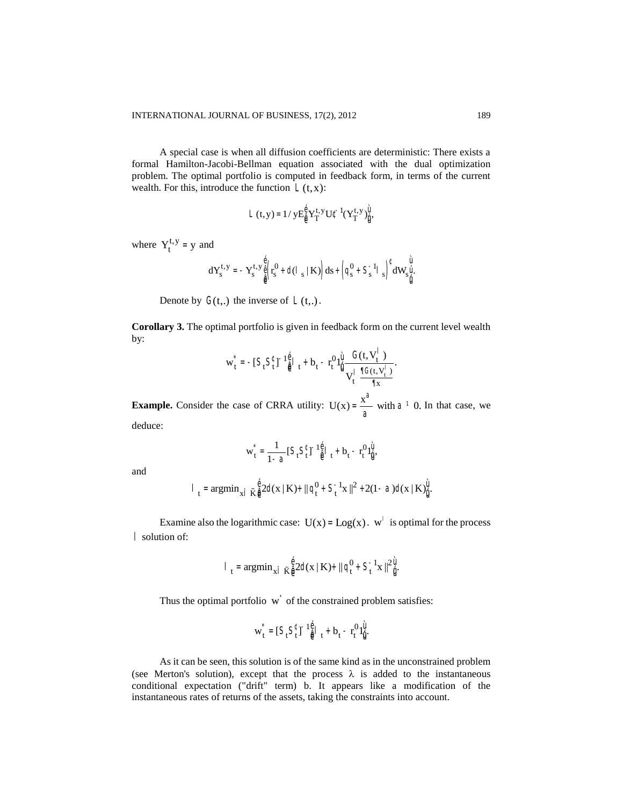A special case is when all diffusion coefficients are deterministic: There exists a formal Hamilton-Jacobi-Bellman equation associated with the dual optimization problem. The optimal portfolio is computed in feedback form, in terms of the current wealth. For this, introduce the function  $\mathcal{L}(t, x)$ :

$$
L(t,y)=1/\,yE_{\hat{\theta}}^{\hat{\theta}}Y_T^{t,y}U^{\hat{\iota}-1}(Y_T^{t,y})_{\hat{\mathbf{U}}}^{\hat{\mathbf{U}}},
$$

where  $Y_t^{t,y} = y$  and

$$
dY^{t,y}_s=-Y^{t,y}_s\overset{\hat{\varrho}}{\underset{\hat{\varrho}}{\varrho}}\Big(r^0_s+d(1_{s}\mid K)\Big)ds+\left(q^0_s+S^{-1}_sI_{s}\right)^t dW_s\overset{\hat{U}}{\underset{\hat{U}}{\dot{U}}}.
$$

Denote by  $G(t,.)$  the inverse of  $\mathcal{L}(t,.)$ .

**Corollary 3.** The optimal portfolio is given in feedback form on the current level wealth by:

$$
\mathbf{w}_t^\star = -[\, \boldsymbol{S}_t \boldsymbol{S}_t^\ell \, ]^{-1} \mathop{\textstyle \frac{\dot{\boldsymbol{\theta}}}{\dot{\boldsymbol{\theta}}}}\, \mathop{\textstyle \frac{1}{t}} + \boldsymbol{b}_t - r_t^0 \mathbf{1}_\mathop{\textstyle \frac{\dot{\boldsymbol{\theta}}}{\dot{\boldsymbol{\theta}}}} \frac{G(t,\boldsymbol{V}_t^\top)}{\mathbf{V}_t^\top} \frac{1}{\mathop{\textstyle \frac{\dot{\boldsymbol{\theta}}}{\dot{\boldsymbol{\theta}}}}(t,\boldsymbol{V}_t^\top)}.
$$

**Example.** Consider the case of CRRA utility:  $U(x) = \frac{x^{\alpha}}{x^{\beta}}$ a with  $a^1$  0. In that case, we deduce:

$$
\mathbf{w}_t^\star = \frac{1}{1-\text{a}} \big[ \mathsf{S}_t \mathsf{S}_t^\text{c} \big]^{-1} \overset{\text{d}}{\hat{\text{e}}} \big|_{t} + \mathbf{b}_t - \mathbf{r}_t^0 \mathbf{1}_{\dot{\text{u}}}^{\dot{\text{u}}},
$$

and

$$
|\ \, t \, = \text{argmin}_{x \, \tilde{l}} \, \tilde{K} \frac{\hat{e}}{\hat{e}} 2d(x \mid K) + ||\, q_{t}^{0} \, + \, S_{t}^{-1}x \,||^{2} \, + 2(1 - \alpha) d(x \mid K)_{\tilde{l}j}^{\tilde{u}}.
$$

Examine also the logarithmic case:  $U(x) = Log(x)$ .  $w<sup>1</sup>$  is optimal for the process l solution of:

$$
|\int_{t} = \text{argmin}_{x \in \hat{I}} \tilde{K} \frac{\hat{e}}{\hat{e}} 2d(x \mid K) + ||q_t^0 + S_t^{-1} x||^{2} \hat{u}.
$$

Thus the optimal portfolio  $\vec{w}$  of the constrained problem satisfies:

$$
\mathbf{w}_t^*=[S_tS_t^\text{C}J^{-1}\hat{\mathbf{\theta}}_t^{\text{C}}\,t^+\,b_t-r_t^0\,1\hat{\mathbf{y}}_t^{\text{C}}\cdot
$$

As it can be seen, this solution is of the same kind as in the unconstrained problem (see Merton's solution), except that the process  $\lambda$  is added to the instantaneous conditional expectation ("drift" term) b. It appears like a modification of the instantaneous rates of returns of the assets, taking the constraints into account.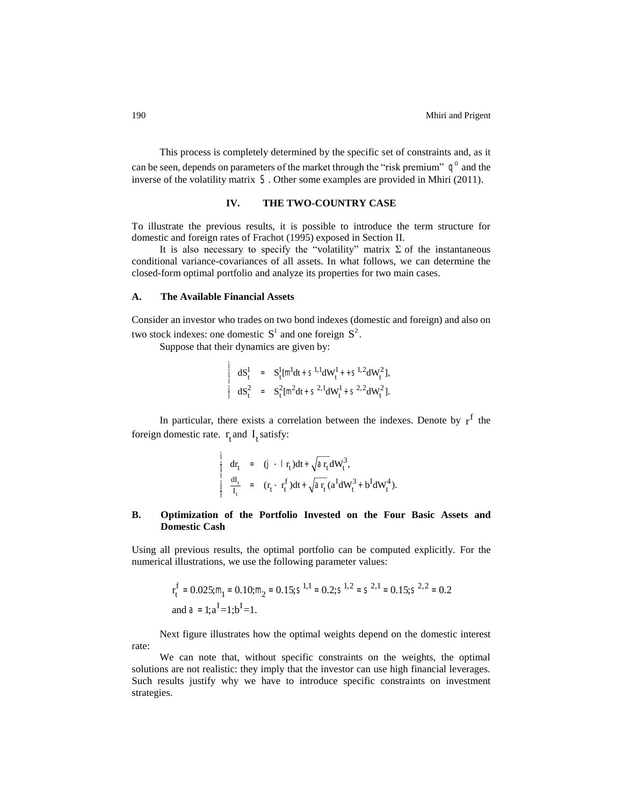This process is completely determined by the specific set of constraints and, as it can be seen, depends on parameters of the market through the "risk premium"  $q^0$  and the inverse of the volatility matrix S. Other some examples are provided in Mhiri (2011).

# **IV. THE TWO-COUNTRY CASE**

To illustrate the previous results, it is possible to introduce the term structure for domestic and foreign rates of Frachot (1995) exposed in Section II.

It is also necessary to specify the "volatility" matrix  $\Sigma$  of the instantaneous conditional variance-covariances of all assets. In what follows, we can determine the closed-form optimal portfolio and analyze its properties for two main cases.

## **A. The Available Financial Assets**

Consider an investor who trades on two bond indexes (domestic and foreign) and also on two stock indexes: one domestic  $S^1$  and one foreign  $S^2$ .

Suppose that their dynamics are given by:

$$
\begin{array}{cccc}\n\frac{1}{1} & dS_t^1 & = & S_t^1[m^1 dt + S^{1,1} dW_t^1 + S^{1,2} dW_t^2], \\
\frac{1}{1} & dS_t^2 & = & S_t^2[m^2 dt + S^{2,1} dW_t^1 + S^{2,2} dW_t^2].\n\end{array}
$$

In particular, there exists a correlation between the indexes. Denote by  $r<sup>f</sup>$  the foreign domestic rate.  $r_t$  and  $I_t$  satisfy:

$$
\frac{d\vec{r}}{dt} = (\vec{J} - \vec{r}_t)dt + \sqrt{a_r}dW_t^3,\n\frac{d\vec{r}}{dt} = (r_t - r_t^f)dt + \sqrt{a_r} (a^IdW_t^3 + b^IdW_t^4).
$$

# **B. Optimization of the Portfolio Invested on the Four Basic Assets and Domestic Cash**

Using all previous results, the optimal portfolio can be computed explicitly. For the numerical illustrations, we use the following parameter values:

$$
r_t^f = 0.025; m_1 = 0.10; m_2 = 0.15; S^{1,1} = 0.2; S^{1,2} = S^{2,1} = 0.15; S^{2,2} = 0.2
$$
  
and  $a = 1; a^I = 1; b^I = 1$ .

Next figure illustrates how the optimal weights depend on the domestic interest rate:

We can note that, without specific constraints on the weights, the optimal solutions are not realistic: they imply that the investor can use high financial leverages. Such results justify why we have to introduce specific constraints on investment strategies.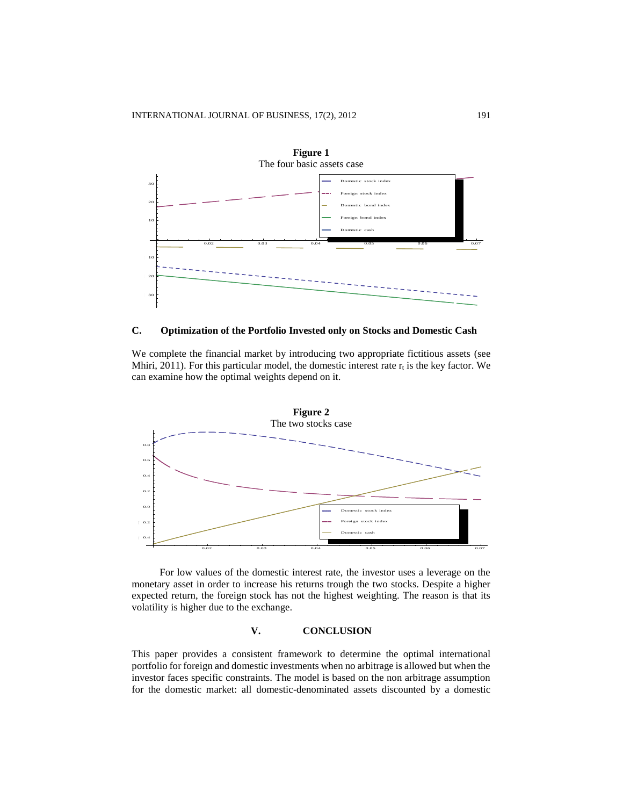

## **C. Optimization of the Portfolio Invested only on Stocks and Domestic Cash**

We complete the financial market by introducing two appropriate fictitious assets (see Mhiri, 2011). For this particular model, the domestic interest rate  $r_t$  is the key factor. We can examine how the optimal weights depend on it.



For low values of the domestic interest rate, the investor uses a leverage on the monetary asset in order to increase his returns trough the two stocks. Despite a higher expected return, the foreign stock has not the highest weighting. The reason is that its volatility is higher due to the exchange.

### **V. CONCLUSION**

This paper provides a consistent framework to determine the optimal international portfolio for foreign and domestic investments when no arbitrage is allowed but when the investor faces specific constraints. The model is based on the non arbitrage assumption for the domestic market: all domestic-denominated assets discounted by a domestic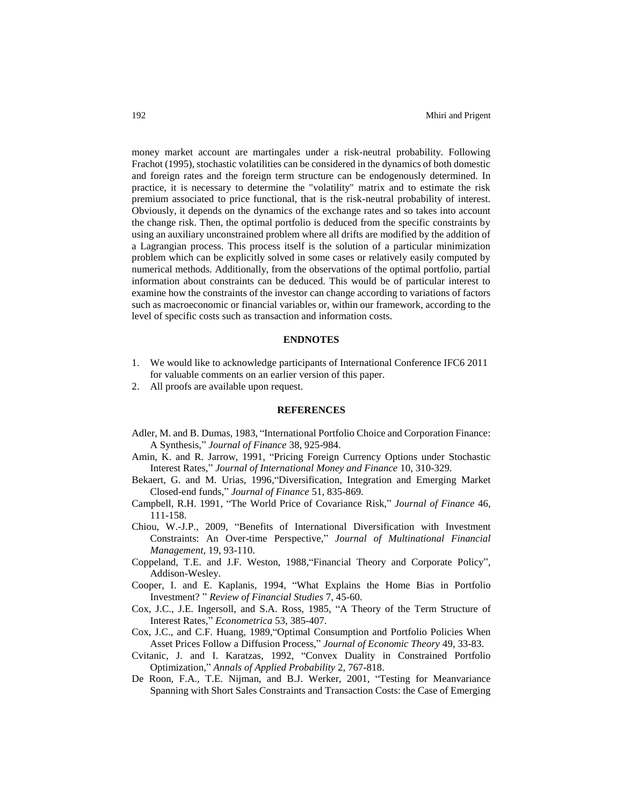money market account are martingales under a risk-neutral probability. Following Frachot (1995), stochastic volatilities can be considered in the dynamics of both domestic and foreign rates and the foreign term structure can be endogenously determined. In practice, it is necessary to determine the "volatility" matrix and to estimate the risk premium associated to price functional, that is the risk-neutral probability of interest. Obviously, it depends on the dynamics of the exchange rates and so takes into account the change risk. Then, the optimal portfolio is deduced from the specific constraints by using an auxiliary unconstrained problem where all drifts are modified by the addition of a Lagrangian process. This process itself is the solution of a particular minimization problem which can be explicitly solved in some cases or relatively easily computed by numerical methods. Additionally, from the observations of the optimal portfolio, partial information about constraints can be deduced. This would be of particular interest to examine how the constraints of the investor can change according to variations of factors such as macroeconomic or financial variables or, within our framework, according to the level of specific costs such as transaction and information costs.

### **ENDNOTES**

- 1. We would like to acknowledge participants of International Conference IFC6 2011 for valuable comments on an earlier version of this paper.
- 2. All proofs are available upon request.

#### **REFERENCES**

- Adler, M. and B. Dumas, 1983, "International Portfolio Choice and Corporation Finance: A Synthesis," *Journal of Finance* 38, 925-984.
- Amin, K. and R. Jarrow, 1991, "Pricing Foreign Currency Options under Stochastic Interest Rates," *Journal of International Money and Finance* 10, 310-329.
- Bekaert, G. and M. Urias, 1996,"Diversification, Integration and Emerging Market Closed-end funds," *Journal of Finance* 51, 835-869.
- Campbell, R.H. 1991, "The World Price of Covariance Risk," *Journal of Finance* 46, 111-158.
- Chiou, W.-J.P., 2009, "Benefits of International Diversification with Investment Constraints: An Over-time Perspective," *Journal of Multinational Financial Management*, 19, 93-110.
- Coppeland, T.E. and J.F. Weston, 1988,"Financial Theory and Corporate Policy", Addison-Wesley.
- Cooper, I. and E. Kaplanis, 1994, "What Explains the Home Bias in Portfolio Investment? " *Review of Financial Studies* 7, 45-60.
- Cox, J.C., J.E. Ingersoll, and S.A. Ross, 1985, "A Theory of the Term Structure of Interest Rates," *Econometrica* 53, 385-407.
- Cox, J.C., and C.F. Huang, 1989,"Optimal Consumption and Portfolio Policies When Asset Prices Follow a Diffusion Process," *Journal of Economic Theory* 49, 33-83.
- Cvitanic, J. and I. Karatzas, 1992, "Convex Duality in Constrained Portfolio Optimization," *Annals of Applied Probability* 2, 767-818.
- De Roon, F.A., T.E. Nijman, and B.J. Werker, 2001, "Testing for Meanvariance Spanning with Short Sales Constraints and Transaction Costs: the Case of Emerging